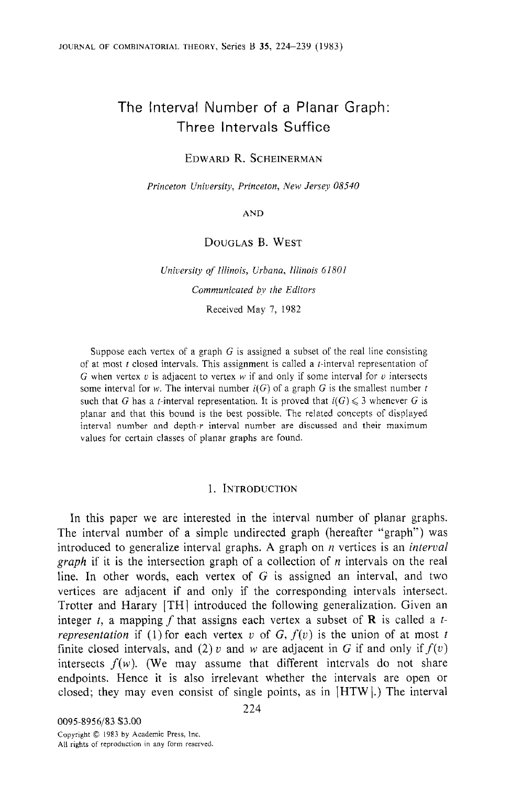# The Interval Number of a Planar Graph: Three Intervals Suffice

# EDWARD R. SCHEINERMAN

Princeton University, Princeton, New Jersey 08540

AND

## DOUGLAS B. WEST

University of Illinois, Urbana, Illinois 61801 Communicated bv the Editors Received May 7, 1982

Suppose each vertex of a graph  $G$  is assigned a subset of the real line consisting of at most t closed intervals. This assignment is called a t-interval representation of G when vertex  $v$  is adjacent to vertex  $w$  if and only if some interval for  $v$  intersects some interval for w. The interval number  $i(G)$  of a graph G is the smallest number t such that G has a t-interval representation. It is proved that  $i(G) \leq 3$  whenever G is planar and that this bound is the best possible. The related concepts of displayed interval number and depth-r interval number are discussed and their maximum values for certain classes of planar graphs are found.

# 1. INTRODUCTION

In this paper we are interested in the interval number of planar graphs. The interval number of a simple undirected graph (hereafter "graph") was introduced to generalize interval graphs. A graph on  $n$  vertices is an *interval graph* if it is the intersection graph of a collection of *n* intervals on the real line. In other words, each vertex of G is assigned an interval, and two vertices are adjacent if and only if the corresponding intervals intersect. Trotter and Harary [THl introduced the following generalization. Given an integer t, a mapping f that assigns each vertex a subset of  $\bf{R}$  is called a trepresentation if (1) for each vertex v of G,  $f(v)$  is the union of at most t finite closed intervals, and (2)  $v$  and w are adjacent in G if and only if  $f(v)$ intersects  $f(w)$ . (We may assume that different intervals do not share endpoints. Hence it is also irrelevant whether the intervals are open or closed; they may even consist of single points, as in  $[HTW]$ .) The interval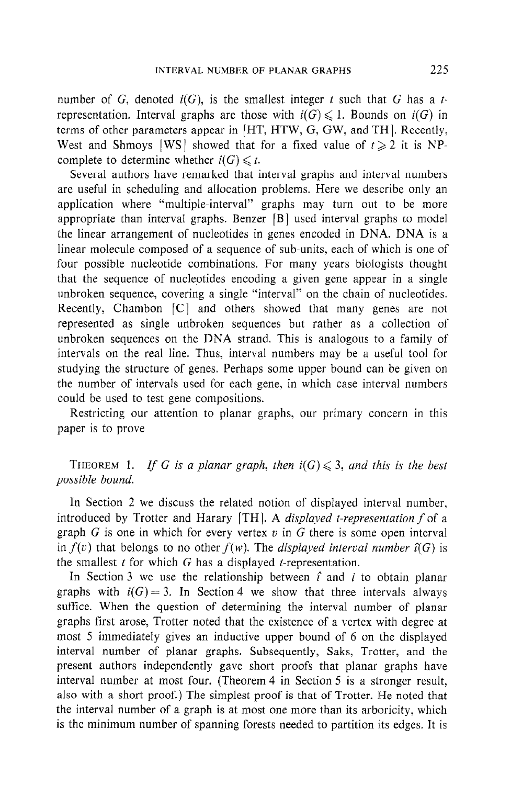number of G, denoted  $i(G)$ , is the smallest integer t such that G has a trepresentation. Interval graphs are those with  $i(G) \leq 1$ . Bounds on  $i(G)$  in terms of other parameters appear in [HT, HTW, G, GW, and TH]. Recently, West and Shmoys [WS] showed that for a fixed value of  $t \ge 2$  it is NPcomplete to determine whether  $i(G) \leq t$ .

Several authors have remarked that interval graphs and interval numbers are useful in scheduling and allocation problems. Here we describe only an application where "multiple-interval" graphs may turn out to be more appropriate than interval graphs. Benzer [B] used interval graphs to model the linear arrangement of nucleotides in genes encoded in DNA. DNA is a linear molecule composed of a sequence of sub-units, each of which is one of four possible nucleotide combinations. For many years biologists thought that the sequence of nucleotides encoding a given gene appear in a single unbroken sequence, covering a single "interval" on the chain of nucleotides. Recently, Chambon [C] and others showed that many genes are not represented as single unbroken sequences but rather as a collection of unbroken sequences on the DNA strand. This is analogous to a family of intervals on the real line. Thus, interval numbers may be a useful tool for studying the structure of genes. Perhaps some upper bound can be given on the number of intervals used for each gene, in which case interval numbers could be used to test gene compositions.

Restricting our attention to planar graphs, our primary concern in this paper is to prove

THEOREM 1. If G is a planar graph, then  $i(G) \leq 3$ , and this is the best possible bound.

In Section 2 we discuss the related notion of displayed interval number, introduced by Trotter and Harary [TH]. A *displayed t-representation f* of a graph G is one in which for every vertex  $v$  in G there is some open interval in  $f(v)$  that belongs to no other  $f(w)$ . The *displayed interval number*  $\hat{i}(G)$  is the smallest  $t$  for which  $G$  has a displayed  $t$ -representation.

In Section 3 we use the relationship between  $\hat{i}$  and  $\hat{i}$  to obtain planar graphs with  $i(G) = 3$ . In Section 4 we show that three intervals always suffice. When the question of determining the interval number of planar graphs first arose, Trotter noted that the existence of a vertex with degree at most 5 immediately gives an inductive upper bound of 6 on the displayed interval number of planar graphs. Subsequently, Saks, Trotter, and the present authors independently gave short proofs that planar graphs have interval number at most four. (Theorem 4 in Section 5 is a stronger result, also with a short proof.) The simplest proof is that of Trotter. He noted that also with a short proof, fine simplest proof is that or frotter, are more that ine mierval number of a graph is at most one more than its arboricity, which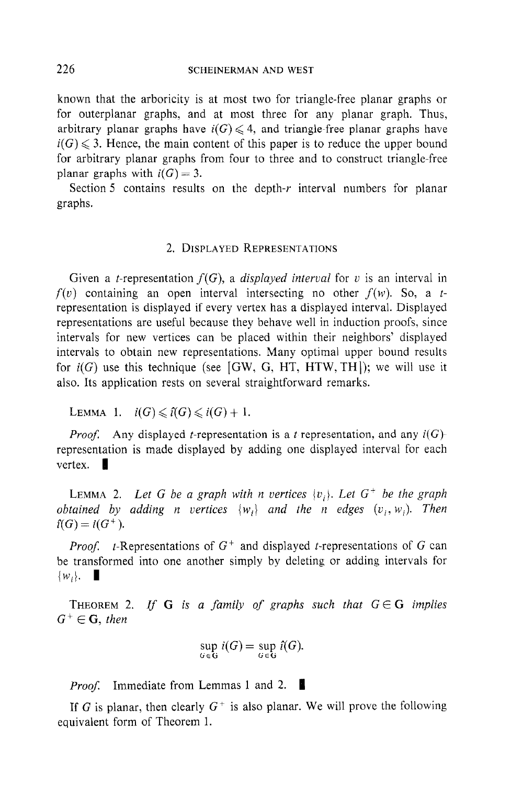known that the arboricity is at most two for triangle-free planar graphs or for outerplanar graphs, and at most three for any planar graph. Thus, arbitrary planar graphs have  $i(G) \leq 4$ , and triangle-free planar graphs have  $i(G) \leq 3$ . Hence, the main content of this paper is to reduce the upper bound for arbitrary planar graphs from four to three and to construct triangle-free planar graphs with  $i(G) = 3$ .

Section 5 contains results on the depth- $r$  interval numbers for planar graphs.

### 2. DISPLAYED REPRESENTATIONS

Given a *t*-representation  $f(G)$ , a *displayed interval* for v is an interval in  $f(v)$  containing an open interval intersecting no other  $f(w)$ . So, a trepresentation is displayed if every vertex has a displayed interval. Displayed representations are useful because they behave well in induction proofs, since intervals for new vertices can be placed within their neighbors' displayed intervals to obtain new representations. Many optimal upper bound results for  $i(G)$  use this technique (see [GW, G, HT, HTW, TH]); we will use it also. Its application rests on several straightforward remarks.

LEMMA 1.  $i(G) \leq \hat{i}(G) \leq i(G) + 1$ .

*Proof.* Any displayed *t*-representation is a *t*-representation, and any  $i(G)$ representation is made displayed by adding one displayed interval for each vertex.  $\blacksquare$ 

LEMMA 2. Let G be a graph with n vertices  $\{v_i\}$ . Let  $G^+$  be the graph obtained by adding n vertices  $\{w_i\}$  and the n edges  $(v_i, w_i)$ . Then  $\hat{i}(G) = i(G^+).$ 

*Proof. t*-Representations of  $G^+$  and displayed *t*-representations of G can be transformed into one another simply by deleting or adding intervals for  $\{w_i\}$ .

THEOREM 2. If G is a family of graphs such that  $G \in \mathbf{G}$  implies  $G^+ \in \mathbf{G}$ , then

$$
\sup_{G \in \mathbf{G}} i(G) = \sup_{G \in \mathbf{G}} \hat{i}(G).
$$

*Proof.* Immediate from Lemmas 1 and 2.

 $\sum_{i=1}^{n}$  is planar, then clearly  $\sum_{i=1}^{n}$  is also planar. We will prove the following  $\mu$  or  $\mu$  is planar, then clearly of  $\mu$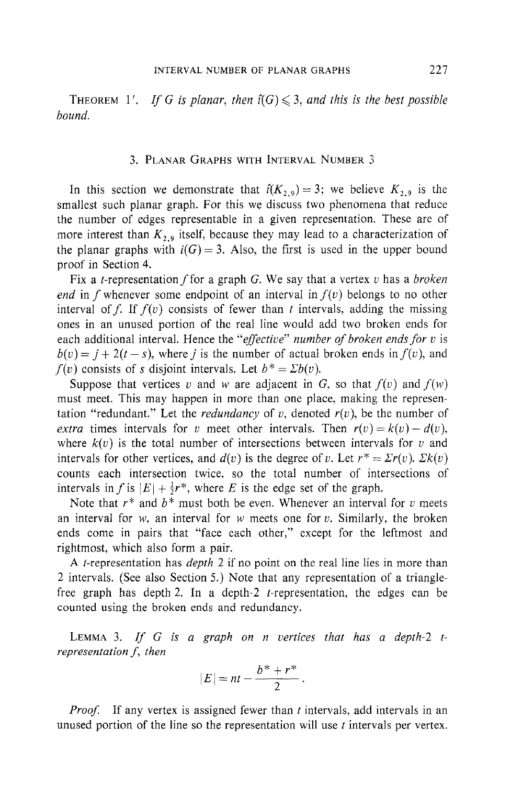THEOREM 1'. If G is planar, then  $\hat{I}(G) \leq 3$ , and this is the best possible bound.

### 3. PLANAR GRAPHS WITH INTERVAL NUMBER 3

In this section we demonstrate that  $\hat{i}(K_{2,9}) = 3$ ; we believe  $K_{2,9}$  is the smallest such planar graph. For this we discuss two phenomena that reduce the number of edges representable in a given representation. These are of more interest than  $K_{2,9}$  itself, because they may lead to a characterization of the planar graphs with  $i(G) = 3$ . Also, the first is used in the upper bound proof in Section 4.

Fix a *t*-representation f for a graph G. We say that a vertex  $v$  has a *broken* end in f whenever some endpoint of an interval in  $f(v)$  belongs to no other interval of f. If  $f(v)$  consists of fewer than t intervals, adding the missing ones in an unused portion of the real line would add two broken ends for each additional interval. Hence the "effective" number of broken ends for v is  $b(v) = j + 2(t - s)$ , where j is the number of actual broken ends in  $f(v)$ , and  $f(v)$  consists of s disjoint intervals. Let  $b^* = \Sigma b(v)$ .

Suppose that vertices v and w are adjacent in G, so that  $f(v)$  and  $f(w)$ must meet. This may happen in more than one place, making the representation "redundant." Let the *redundancy* of  $v$ , denoted  $r(v)$ , be the number of extra times intervals for v meet other intervals. Then  $r(v) = k(v) - d(v)$ , where  $k(v)$  is the total number of intersections between intervals for v and intervals for other vertices, and  $d(v)$  is the degree of v. Let  $r^* = \Sigma r(v)$ .  $\Sigma k(v)$ counts each intersection twice, so the total number of intersections of intervals in f is  $|E| + \frac{1}{2}r^*$ , where E is the edge set of the graph.

Note that  $r^*$  and  $b^*$  must both be even. Whenever an interval for v meets an interval for  $w$ , an interval for  $w$  meets one for  $v$ . Similarly, the broken ends come in pairs that "face each other," except for the leftmost and rightmost, which also form a pair.

A *t*-representation has *depth* 2 if no point on the real line lies in more than 2 intervals. (See also Section 5.) Note that any representation of a trianglefree graph has depth 2. In a depth-2 t-representation, the edges can be counted using the broken ends and redundancy.

 $L = \begin{bmatrix} 1 & 1 & 1 \end{bmatrix}$  $r = \frac{1}{2}$ 

$$
|E|=nt-\frac{b^*+r^*}{2}.
$$

 $P$  and  $P$  any vertex is assigned fewer than the intervals intervals in any vertex in any vertex in any vertex in any vertex in any vertex in any vertex in any vertex in any vertex in any vertex in any vertex in any vert  $I100j$ . If any vertex is assigned lewer than  $I$  intervals, and intervals in an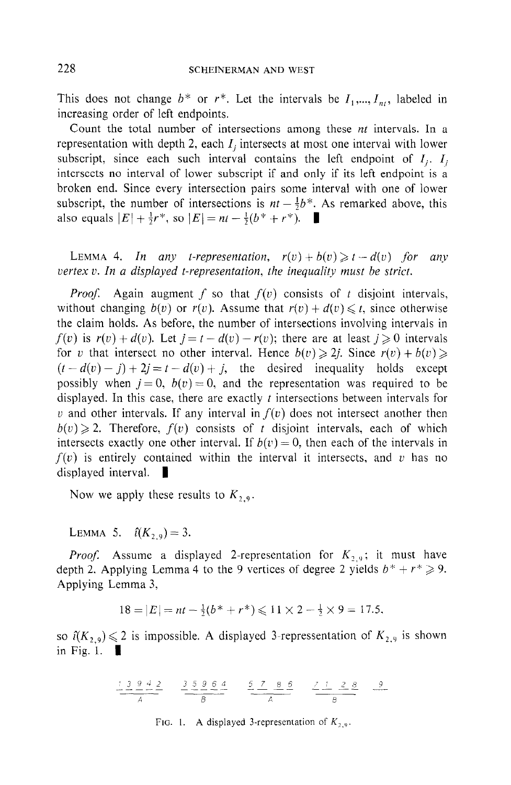This does not change  $b^*$  or  $r^*$ . Let the intervals be  $I_1, ..., I_{n}$ , labeled in increasing order of left endpoints.

Count the total number of intersections among these nt intervals. In a representation with depth 2, each  $I_i$  intersects at most one interval with lower subscript, since each such interval contains the left endpoint of  $I_i$ .  $I_i$ intersects no interval of lower subscript if and only if its left endpoint is a broken end. Since every intersection pairs some interval with one of lower subscript, the number of intersections is  $nt - \frac{1}{2}b^*$ . As remarked above, this also equals  $|E| + \frac{1}{2}r^*$ , so  $|E| = nt - \frac{1}{2}(b^* + r^*)$ .

LEMMA 4. In any t-representation,  $r(v) + b(v) \geq t - d(v)$  for any vertex v. In a displayed t-representation, the inequality must be strict.

*Proof.* Again augment f so that  $f(v)$  consists of t disjoint intervals, without changing  $b(v)$  or  $r(v)$ . Assume that  $r(v) + d(v) \le t$ , since otherwise the claim holds. As before, the number of intersections involving intervals in  $f(v)$  is  $r(v) + d(v)$ . Let  $j = t - d(v) - r(v)$ ; there are at least  $j \ge 0$  intervals for v that intersect no other interval. Hence  $b(v) \geq 2j$ . Since  $r(v) + b(v) \geq 2j$  $(t - d(v) - j) + 2j = t - d(v) + j$ , the desired inequality holds except possibly when  $j = 0$ ,  $b(v) = 0$ , and the representation was required to be displayed. In this case, there are exactly  $t$  intersections between intervals for v and other intervals. If any interval in  $f(v)$  does not intersect another then  $b(v) \ge 2$ . Therefore,  $f(v)$  consists of t disjoint intervals, each of which intersects exactly one other interval. If  $b(v) = 0$ , then each of the intervals in  $f(v)$  is entirely contained within the interval it intersects, and v has no displayed interval.  $\blacksquare$ 

Now we apply these results to  $K_{2,9}$ .

LEMMA 5.  $\hat{\iota}(K_{2,9}) = 3$ .

*Proof.* Assume a displayed 2-representation for  $K_{2,9}$ ; it must have depth 2. Applying Lemma 4 to the 9 vertices of degree 2 yields  $b^* + r^* \ge 9$ . Applying Lemma 3,

$$
18 = |E| = nt - \frac{1}{2}(b^* + r^*) \leq 11 \times 2 - \frac{1}{2} \times 9 = 17.5,
$$

so  $\hat{i}(K_{2,9}) \leq 2$  is impossible. A displayed 3-repressentation of  $K_{2,9}$  is shown in Fig. 1.  $\blacksquare$ 

$$
\frac{7}{4} \frac{3}{4} \frac{9}{4} \frac{4}{2} \frac{2}{8} = \frac{3}{4} \frac{5}{8} \frac{9}{8} \frac{6}{4} \frac{4}{8} = \frac{5}{4} \frac{7}{8} \frac{8}{8} \frac{5}{8} = \frac{7}{8} \frac{1}{8} \frac{2}{8} \frac{8}{8} = \frac{9}{8}
$$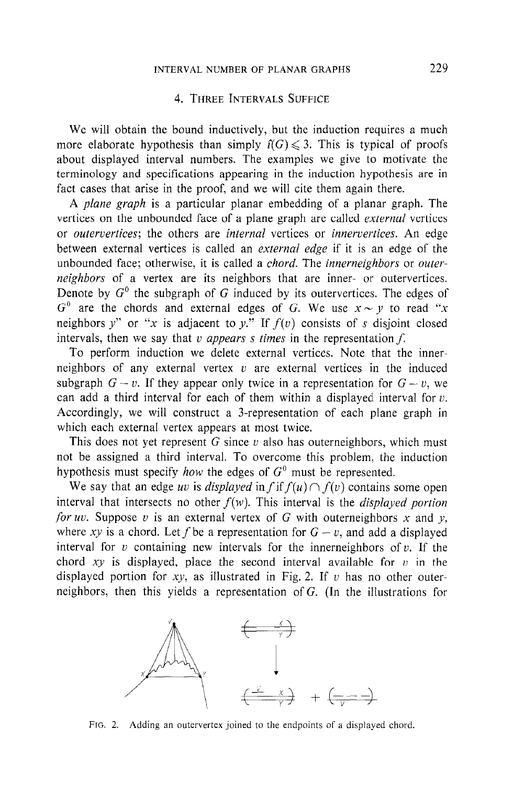### 4. THREE INTERVALS SUFFICE

We will obtain the bound inductively, but the induction requires a much more elaborate hypothesis than simply  $\hat{I}(G) \leq 3$ . This is typical of proofs about displayed interval numbers. The examples we give to motivate the terminology and specifications appearing in the induction hypothesis are in fact cases that arise in the proof, and we will cite them again there.

A plane graph is a particular planar embedding of a planar graph. The vertices on the unbounded face of a plane graph are called external vertices or outervertices; the others are internal vertices or innervertices. An edge between external vertices is called an external edge if it is an edge of the unbounded face; otherwise, it is called a *chord*. The *innerneighbors* or *outer*neighbors of a vertex are its neighbors that are inner- or outervertices. Denote by  $G^0$  the subgraph of G induced by its outervertices. The edges of  $G^0$  are the chords and external edges of G. We use  $x \sim y$  to read "x" neighbors y" or "x is adjacent to y." If  $f(v)$  consists of s disjoint closed intervals, then we say that  $v$  appears  $s$  times in the representation  $f$ .

To perform induction we delete external vertices. Note that the innerneighbors of any external vertex  $v$  are external vertices in the induced subgraph  $G - v$ . If they appear only twice in a representation for  $G - v$ , we can add a third interval for each of them within a displayed interval for v. Accordingly, we will construct a 3-representation of each plane graph in which each external vertex appears at most twice.

This does not yet represent  $G$  since  $v$  also has outerneighbors, which must not be assigned a third interval. To overcome this problem, the induction hypothesis must specify how the edges of  $G^0$  must be represented.

We say that an edge uv is *displayed* in f if  $f(u) \cap f(v)$  contains some open interval that intersects no other  $f(w)$ . This interval is the *displayed portion* for uv. Suppose v is an external vertex of G with outerneighbors x and y, where xy is a chord. Let f be a representation for  $G - v$ , and add a displayed interval for v containing new intervals for the innerneighbors of  $v$ . If the chord xy is displayed, place the second interval available for  $v$  in the displayed portion for xy, as illustrated in Fig. 2. If  $v$  has no other outerneighbors, then this yields a representation of G. (In the illustrations for

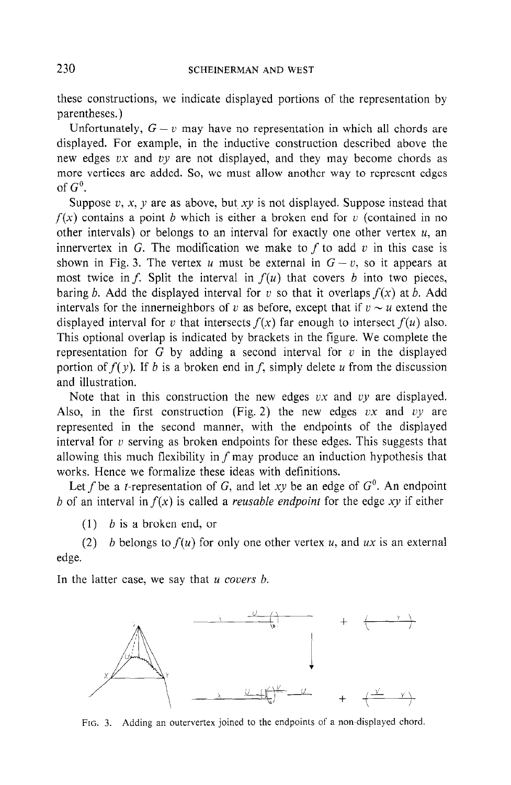these constructions, we indicate displayed portions of the representation by parentheses.)

Unfortunately,  $G - v$  may have no representation in which all chords are displayed. For example, in the inductive construction described above the new edges vx and vy are not displayed, and they may become chords as more vertices are added. So, we must allow another way to represent edges of  $G^0$ .

Suppose v, x, y are as above, but xy is not displayed. Suppose instead that  $f(x)$  contains a point b which is either a broken end for v (contained in no other intervals) or belongs to an interval for exactly one other vertex  $u$ , an innervertex in G. The modification we make to f to add v in this case is shown in Fig. 3. The vertex u must be external in  $G - v$ , so it appears at most twice in f. Split the interval in  $f(u)$  that covers b into two pieces, baring b. Add the displayed interval for v so that it overlaps  $f(x)$  at b. Add intervals for the innerneighbors of v as before, except that if  $v \sim u$  extend the displayed interval for v that intersects  $f(x)$  far enough to intersect  $f(u)$  also. This optional overlap is indicated by brackets in the figure. We complete the representation for G by adding a second interval for  $v$  in the displayed portion of  $f(y)$ . If b is a broken end in f, simply delete u from the discussion and illustration.

Note that in this construction the new edges  $vx$  and  $vy$  are displayed. Also, in the first construction (Fig. 2) the new edges  $vx$  and  $vy$  are represented in the second manner, with the endpoints of the displayed interval for  $v$  serving as broken endpoints for these edges. This suggests that allowing this much flexibility in  $f$  may produce an induction hypothesis that works. Hence we formalize these ideas with definitions.

Let f be a t-representation of G, and let xy be an edge of  $G^0$ . An endpoint b of an interval in  $f(x)$  is called a *reusable endpoint* for the edge xy if either

 $(1)$  *b* is a broken end, or

(2) b belongs to  $f(u)$  for only one other vertex u, and ux is an external edge.

In the latter case, we say that  $u$  covers  $b$ .



FIG. 3. Adding an outervertex joined to the endpoints of a non-displayed chord.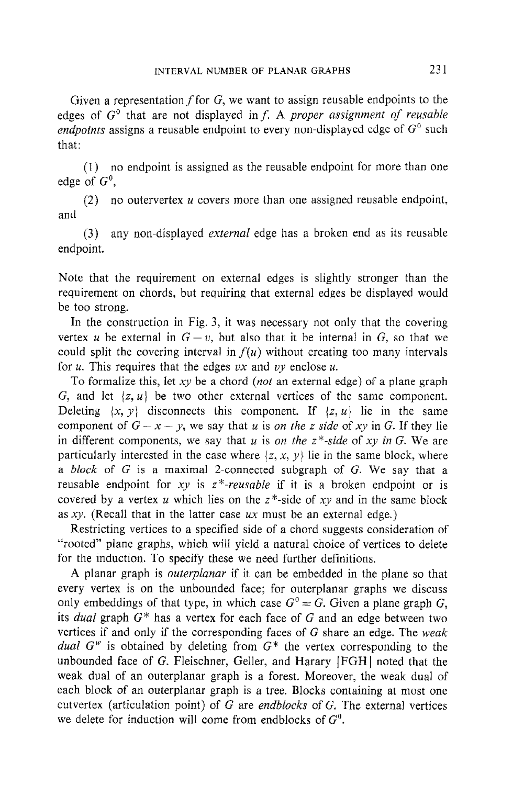Given a representation  $f$  for  $G$ , we want to assign reusable endpoints to the edges of  $G<sup>0</sup>$  that are not displayed in f. A proper assignment of reusable endpoints assigns a reusable endpoint to every non-displayed edge of  $G^0$  such that:

(1) no endpoint is assigned as the reusable endpoint for more than one edge of  $G^0$ ,

(2) no outervertex  $u$  covers more than one assigned reusable endpoint, and

(3) any non-displayed external edge has a broken end as its reusable endpoint.

Note that the requirement on external edges is slightly stronger than the requirement on chords, but requiring that external edges be displayed would be too strong.

In the construction in Fig. 3, it was necessary not only that the covering vertex u be external in  $G-v$ , but also that it be internal in G, so that we could split the covering interval in  $f(u)$  without creating too many intervals for  $u$ . This requires that the edges  $vx$  and  $vy$  enclose  $u$ .

To formalize this, let  $xy$  be a chord (*not* an external edge) of a plane graph G, and let  $\{z, u\}$  be two other external vertices of the same component. Deleting  $\{x, y\}$  disconnects this component. If  $\{z, u\}$  lie in the same component of  $G - x - y$ , we say that u is on the z-side of xy in G. If they lie in different components, we say that u is on the  $z^*$ -side of xy in G. We are particularly interested in the case where  $\{z, x, y\}$  lie in the same block, where a block of  $G$  is a maximal 2-connected subgraph of  $G$ . We say that a reusable endpoint for xy is  $z^*$ -reusable if it is a broken endpoint or is covered by a vertex u which lies on the  $z^*$ -side of xy and in the same block as xy. (Recall that in the latter case  $ux$  must be an external edge.)

Restricting vertices to a specified side of a chord suggests consideration of "rooted" plane graphs, which will yield a natural choice of vertices to delete for the induction. To specify these we need further definitions.

A planar graph is outerplanar if it can be embedded in the plane so that every vertex is on the unbounded face: for outerplanar graphs we discuss only embeddings of that type, in which case  $G^0 = G$ . Given a plane graph G, its *dual* graph  $G^*$  has a vertex for each face of G and an edge between two vertices if and only if the corresponding faces of  $G$  share an edge. The weak dual  $G^w$  is obtained by deleting from  $G^*$  the vertex corresponding to the unbounded face of G. Fleischner, Geller, and Harary [FGH] noted that the weak dual of an outerplanar graph is a forest. Moreover, the weak dual of each block of an outerplanar graph is a tree. Blocks containing at most one cutvertex (articulation point) of G are endblocks of G. The external vertices we delete for induction will come from endblocks of  $G^0$ .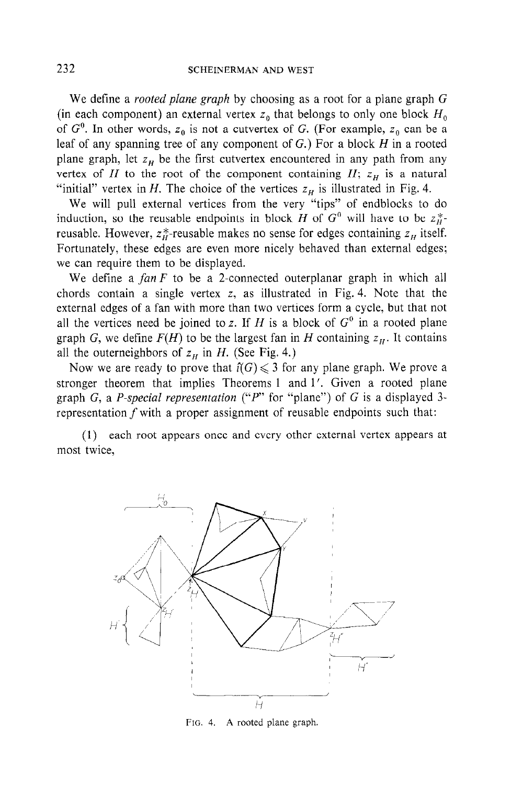We define a *rooted plane graph* by choosing as a root for a plane graph  $G$ (in each component) an external vertex  $z_0$  that belongs to only one block  $H_0$ of  $G^0$ . In other words,  $z_0$  is not a cutvertex of G. (For example,  $z_0$  can be a leaf of any spanning tree of any component of  $G$ .) For a block  $H$  in a rooted plane graph, let  $z_H$  be the first cutvertex encountered in any path from any vertex of H to the root of the component containing H;  $z_H$  is a natural "initial" vertex in H. The choice of the vertices  $z_H$  is illustrated in Fig. 4.

We will pull external vertices from the very "tips" of endblocks to do induction, so the reusable endpoints in block H of  $G^0$  will have to be  $z_{H}^*$ reusable. However,  $z_H^*$ -reusable makes no sense for edges containing  $z_H$  itself. Fortunately, these edges are even more nicely behaved than external edges; we can require them to be displayed.

We define a fan  $F$  to be a 2-connected outerplanar graph in which all chords contain a single vertex z, as illustrated in Fig. 4. Note that the external edges of a fan with more than two vertices form a cycle, but that not all the vertices need be joined to z. If H is a block of  $G^0$  in a rooted plane graph G, we define  $F(H)$  to be the largest fan in H containing  $z_H$ . It contains all the outerneighbors of  $z_H$  in H. (See Fig. 4.)

Now we are ready to prove that  $\hat{I}(G) \leq 3$  for any plane graph. We prove a stronger theorem that implies Theorems 1 and 1'. Given a rooted plane graph  $G$ , a *P-special representation* ("P" for "plane") of  $G$  is a displayed 3representation  $f$  with a proper assignment of reusable endpoints such that:

(1) each root appears once and every other external vertex appears at most twice.



FIG. 4. A rooted plane graph.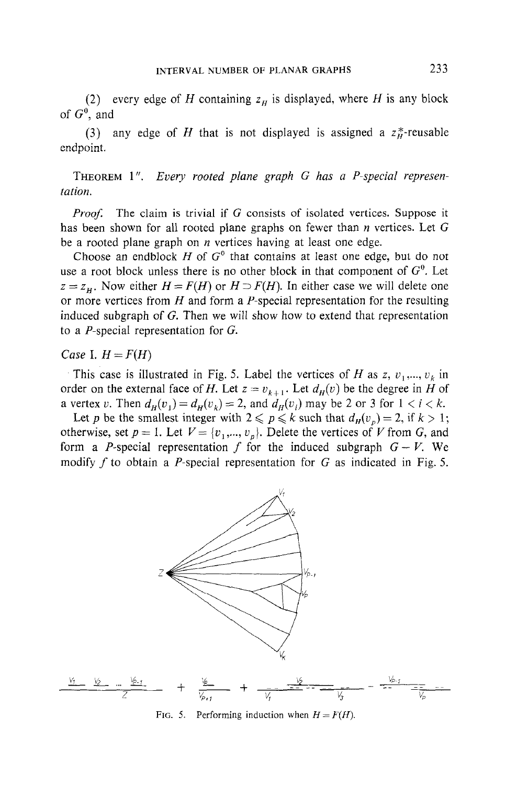(2) every edge of H containing  $z<sub>H</sub>$  is displayed, where H is any block of  $G^0$ , and

(3) any edge of H that is not displayed is assigned a  $z_H^*$ -reusable endpoint.

THEOREM 1". Every rooted plane graph G has a P-special representation.

*Proof.* The claim is trivial if G consists of isolated vertices. Suppose it has been shown for all rooted plane graphs on fewer than  $n$  vertices. Let  $G$ be a rooted plane graph on  $n$  vertices having at least one edge.

Choose an endblock  $H$  of  $G^0$  that contains at least one edge, but do not use a root block unless there is no other block in that component of  $G^0$ . Let  $z = z_H$ . Now either  $H = F(H)$  or  $H \supset F(H)$ . In either case we will delete one or more vertices from  $H$  and form a P-special representation for the resulting induced subgraph of  $G$ . Then we will show how to extend that representation to a  $P$ -special representation for  $G$ .

Case I.  $H = F(H)$ 

This case is illustrated in Fig. 5. Label the vertices of H as z,  $v_1, ..., v_k$  in order on the external face of H. Let  $z = v_{k+1}$ . Let  $d_H(v)$  be the degree in H of a vertex v. Then  $d_H(v_1) = d_H(v_k) = 2$ , and  $d_H(v_i)$  may be 2 or 3 for  $1 \le i \le k$ .

Let p be the smallest integer with  $2 \leqslant p \leqslant k$  such that  $d_H(v_p) = 2$ , if  $k > 1$ ; otherwise, set  $p = 1$ . Let  $V = \{v_1, ..., v_n\}$ . Delete the vertices of V from G, and form a P-special representation f for the induced subgraph  $G - V$ . We modify f to obtain a P-special representation for  $G$  as indicated in Fig. 5.



FIG. 5. Performing induction when  $H = F(H)$ .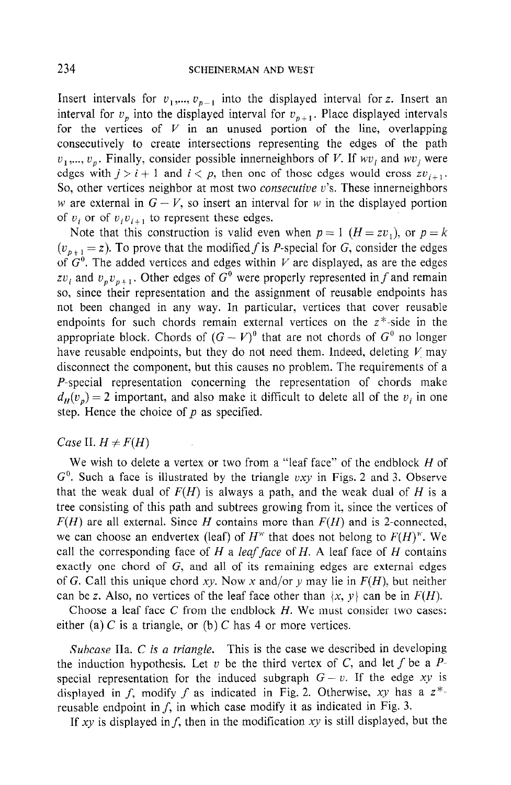Insert intervals for  $v_1, ..., v_{p-1}$  into the displayed interval for z. Insert an interval for  $v_n$  into the displayed interval for  $v_{n+1}$ . Place displayed intervals for the vertices of  $V$  in an unused portion of the line, overlapping consecutively to create intersections representing the edges of the path  $v_1, ..., v_n$ . Finally, consider possible innerneighbors of V. If wv, and wv, were edges with  $j > i + 1$  and  $i < p$ , then one of those edges would cross  $zv_{i+1}$ . So, other vertices neighbor at most two *consecutive v*'s. These innerneighbors w are external in  $G - V$ , so insert an interval for w in the displayed portion of  $v_i$  or of  $v_i v_{i+1}$  to represent these edges.

Note that this construction is valid even when  $p = 1$  ( $H = zv_1$ ), or  $p = k$  $(v_{p+1} = z)$ . To prove that the modified f is P-special for G, consider the edges of  $G^0$ . The added vertices and edges within V are displayed, as are the edges  $zv_i$  and  $v_p v_{n+1}$ . Other edges of  $G^0$  were properly represented in f and remain so, since their representation and the assignment of reusable endpoints has not been changed in any way. In particular, vertices that cover reusable endpoints for such chords remain external vertices on the  $z^*$ -side in the appropriate block. Chords of  $(G - V)^0$  that are not chords of  $G^0$  no longer have reusable endpoints, but they do not need them. Indeed, deleting  $V$  may disconnect the component, but this causes no problem. The requirements of a P-special representation concerning the representation of chords make  $d_H(v_p) = 2$  important, and also make it difficult to delete all of the  $v_i$  in one step. Hence the choice of  $p$  as specified.

### Case II.  $H \neq F(H)$

We wish to delete a vertex or two from a "leaf face" of the endblock  $H$  of  $G<sup>0</sup>$ . Such a face is illustrated by the triangle  $vxy$  in Figs. 2 and 3. Observe that the weak dual of  $F(H)$  is always a path, and the weak dual of H is a tree consisting of this path and subtrees growing from it, since the vertices of  $F(H)$  are all external. Since H contains more than  $F(H)$  and is 2-connected, we can choose an endvertex (leaf) of  $H^w$  that does not belong to  $F(H)^w$ . We call the corresponding face of  $H$  a *leaf face* of  $H$ . A leaf face of  $H$  contains exactly one chord of G, and all of its remaining edges are external edges of G. Call this unique chord xy. Now x and/or y may lie in  $F(H)$ , but neither can be z. Also, no vertices of the leaf face other than  $\{x, y\}$  can be in  $F(H)$ .

Choose a leaf face  $C$  from the endblock  $H$ . We must consider two cases: either (a) C is a triangle, or (b) C has 4 or more vertices.

Subcase IIa. C is a triangle. This is the case we described in developing the induction hypothesis. Let v be the third vertex of C, and let f be a  $P$ special representation for the induced subgraph  $G - v$ . If the edge xy is  $\alpha$  is the fig. 2. Otherwise,  $\alpha$  in Fig. 2. Otherwise,  $\alpha$   $\alpha$   $\alpha$   $\alpha$   $\alpha$ displayed in f, modify f as indicated in Fig. 2. Otherwise,  $xy$  has reusable endpoint in  $f$ , in which case modify it as indicated in Fig. 3.<br>If xy is displayed in  $f$ , then in the modification xy is still displayed, but the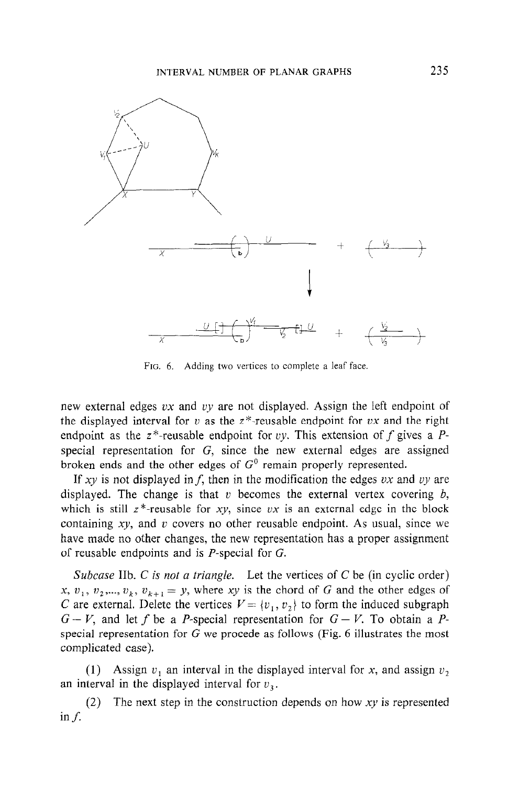

FIG. 6. Adding two vertices to complete a leaf face.

new external edges  $vx$  and  $vy$  are not displayed. Assign the left endpoint of the displayed interval for v as the  $z^*$ -reusable endpoint for vx and the right endpoint as the  $z^*$ -reusable endpoint for vy. This extension of f gives a Pspecial representation for  $G$ , since the new external edges are assigned broken ends and the other edges of  $G^0$  remain properly represented.

If  $xy$  is not displayed in f, then in the modification the edges vx and vy are displayed. The change is that v becomes the external vertex covering  $b$ , which is still  $z^*$ -reusable for xy, since vx is an external edge in the block containing  $xy$ , and v covers no other reusable endpoint. As usual, since we have made no other changes, the new representation has a proper assignment of reusable endpoints and is P-special for G.

Subcase IIb.  $C$  is not a triangle. Let the vertices of  $C$  be (in cyclic order) x,  $v_1, v_2,..., v_k, v_{k+1} = y$ , where xy is the chord of G and the other edges of C are external. Delete the vertices  $V = \{v_1, v_2\}$  to form the induced subgraph  $G - V$ , and let f be a P-special representation for  $G - V$ . To obtain a Pspecial representation for G we procede as follows (Fig. 6 illustrates the most complicated case).

(1) Assign  $v_1$  an interval in the displayed interval for x, and assign  $v_2$ an interval in the displayed interval for  $v_3$ .

(2) The next step in the construction depends on how  $xy$  is represented in f.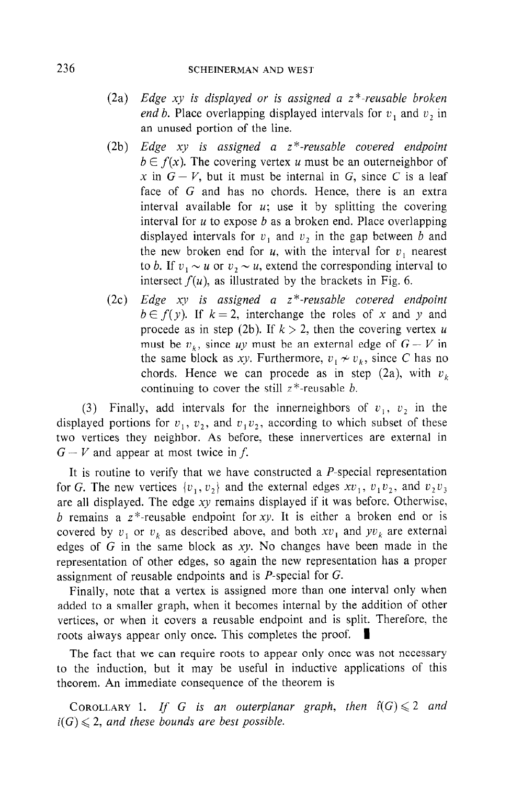# 236 SCHEINERMAN AND WEST

- (2a) Edge xy is displayed or is assigned a  $z^*$ -reusable broken end b. Place overlapping displayed intervals for  $v_1$  and  $v_2$  in an unused portion of the line.
- Edge xy is assigned a  $z^*$ -reusable covered endpoint  $(2b)$  $b \in f(x)$ . The covering vertex u must be an outerneighbor of x in  $G - V$ , but it must be internal in G, since C is a leaf face of G and has no chords. Hence, there is an extra interval available for  $u$ ; use it by splitting the covering interval for  $u$  to expose  $b$  as a broken end. Place overlapping displayed intervals for  $v_1$  and  $v_2$  in the gap between b and the new broken end for  $u$ , with the interval for  $v_1$  nearest to b. If  $v_1 \sim u$  or  $v_2 \sim u$ , extend the corresponding interval to intersect  $f(u)$ , as illustrated by the brackets in Fig. 6.
- (2c) Edge xy is assigned a  $z^*$ -reusable covered endpoint  $b \in f(y)$ . If  $k = 2$ , interchange the roles of x and y and procede as in step (2b). If  $k > 2$ , then the covering vertex u must be  $v_k$ , since uy must be an external edge of  $G - V$  in the same block as xy. Furthermore,  $v_1 \nless v_k$ , since C has no chords. Hence we can procede as in step (2a), with  $v_k$ continuing to cover the still  $z^*$ -reusable b.

(3) Finally, add intervals for the innerneighbors of  $v_1$ ,  $v_2$  in the displayed portions for  $v_1$ ,  $v_2$ , and  $v_1 v_2$ , according to which subset of these two vertices they neighbor. As before, these innervertices are external in  $G - V$  and appear at most twice in f.

It is routine to verify that we have constructed a *-special representation* for G. The new vertices  $\{v_1, v_2\}$  and the external edges  $xv_1, v_1v_2$ , and  $v_2v_3$ are all displayed. The edge  $xy$  remains displayed if it was before. Otherwise, b remains a  $z^*$ -reusable endpoint for xy. It is either a broken end or is covered by  $v_1$  or  $v_k$  as described above, and both  $xv_1$  and  $yv_k$  are external edges of  $G$  in the same block as  $xy$ . No changes have been made in the representation of other edges, so again the new representation has a proper assignment of reusable endpoints and is P-special for G.

Finally, note that a vertex is assigned more than one interval only when added to a smaller graph, when it becomes internal by the addition of other vertices, or when it covers a reusable endpoint and is split. Therefore, the roots always appear only once. This completes the proof.  $\blacksquare$ 

The fact that we can require roots to appear only once was not necessary to the induction, but it may be useful in inductive applications of this theorem. An immediate consequence of the theorem is

COROLLARY 1. If G is an outerplanar graph, then f(G) < 2 and  $\sum_{i=1}^{\infty}$   $\sum_{i=1}^{\infty}$  and the backgrounds are best possible.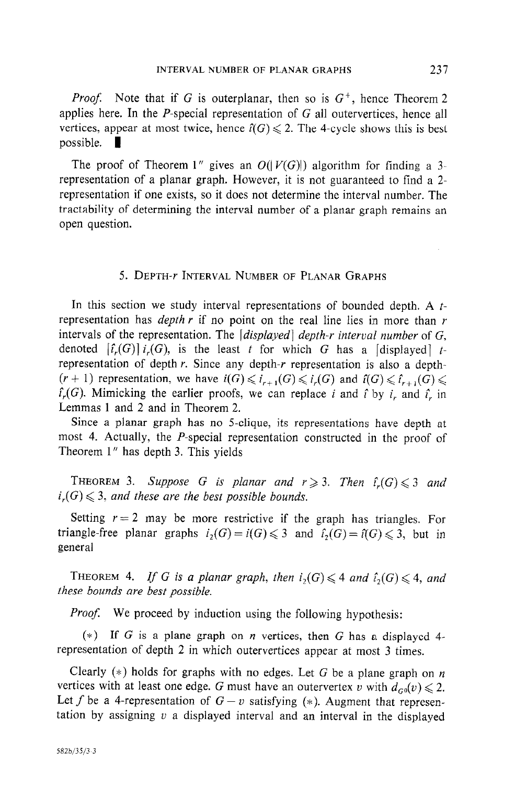*Proof.* Note that if G is outerplanar, then so is  $G^+$ , hence Theorem 2 applies here. In the P-special representation of  $G$  all outervertices, hence all vertices, appear at most twice, hence  $\hat{i}(G) \leq 2$ . The 4-cycle shows this is best possible.  $\blacksquare$ 

The proof of Theorem 1" gives an  $O(|V(G)|)$  algorithm for finding a 3representation of a planar graph. However, it is not guaranteed to find a 2 representation if one exists, so it does not determine the interval number. The tractability of determining the interval number of a planar graph remains an open question.

## 5. DEPTH-r INTERVAL NUMBER OF PLANAR GRAPHS

In this section we study interval representations of bounded depth. A  $t$ representation has  $depth r$  if no point on the real line lies in more than  $r$ intervals of the representation. The [displayed] depth-r interval number of  $G$ , denoted  $[\hat{i}_{r}(G)] \hat{i}_{r}(G)$ , is the least t for which G has a [displayed] trepresentation of depth r. Since any depth-r representation is also a depth-  $(r + 1)$  representation, we have  $i(G) \leq i_{r+1}(G) \leq i_r(G)$  and  $i(G) \leq i_{r+1}(G) \leq$  $\hat{t}$ ,(G). Mimicking the earlier proofs, we can replace i and i by  $i_r$  and  $\hat{i}$ , in Lemmas 1 and 2 and in Theorem 2.

Since a planar graph has no 5-clique, its representations have depth at most 4. Actually, the P-special representation constructed in the proof of Theorem 1" has depth 3. This yields

THEOREM 3. Suppose G is planar and  $r \geq 3$ . Then  $\hat{i}_r(G) \leq 3$  and  $i_r(G) \leq 3$ , and these are the best possible bounds.

Setting  $r = 2$  may be more restrictive if the graph has triangles. For triangle-free planar graphs  $i_2(G) = i(G) \leq 3$  and  $i_2(G) = i(G) \leq 3$ , but in general

THEOREM 4. If G is a planar graph, then  $i_2(G) \leq 4$  and  $i_2(G) \leq 4$ , and these bounds are best possible.

Proof. We proceed by induction using the following hypothesis:

(\*) If G is a plane graph on n vertices, then G has a displayed 4representation of depth 2 in which outervertices appear at most 3 times.

Clearly (\*) holds for graphs with no edges. Let G be a plane graph on  $n$ vertices with at least one edge. G must have an outervertex v with  $d_{G^0}(v) \leq 2$ . Let f be a 4-representation of  $G - v$  satisfying (\*). Augment that representation by assigning  $v$  a displayed interval and an interval in the displayed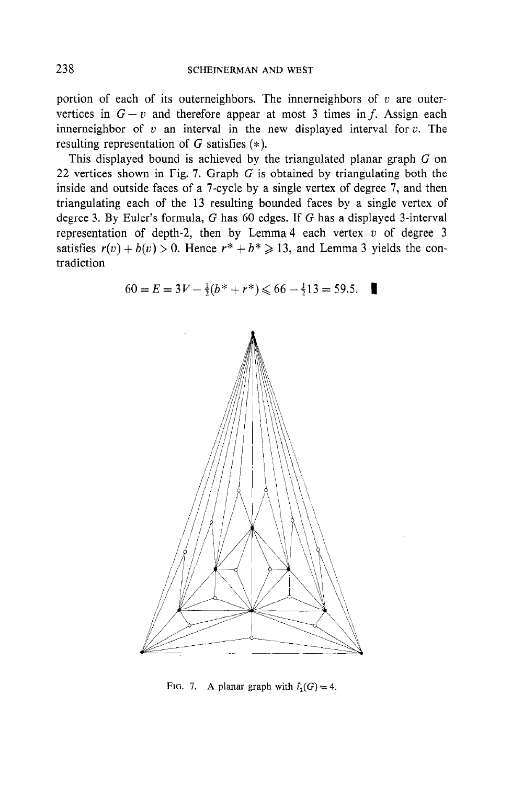portion of each of its outerneighbors. The innerneighbors of  $v$  are outervertices in  $G - v$  and therefore appear at most 3 times in f. Assign each innerneighbor of  $v$  an interval in the new displayed interval for  $v$ . The resulting representation of  $G$  satisfies  $(*)$ .

This displayed bound is achieved by the triangulated planar graph G on 22 vertices shown in Fig. 7. Graph  $G$  is obtained by triangulating both the inside and outside faces of a 7-cycle by a single vertex of degree 7, and then triangulating each of the 13 resulting bounded faces by a single vertex of degree 3. By Euler's formula, G has 60 edges. If G has a displayed 3-interval representation of depth-2, then by Lemma 4 each vertex  $v$  of degree 3 satisfies  $r(v) + b(v) > 0$ . Hence  $r^* + b^* \ge 13$ , and Lemma 3 yields the contradiction

$$
60 = E = 3V - \frac{1}{2}(b^* + r^*) \leq 66 - \frac{1}{2}13 = 59.5.
$$



FIG. 7. A planar graph with  $\hat{i}_2(G) = 4$ .